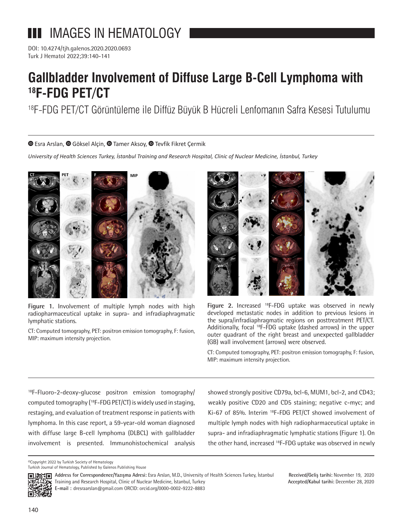# **III** IMAGES IN HEMATOLOGY

DOI: 10.4274/tjh.galenos.2020.2020.0693 Turk J Hematol 2022;39:140-141

## **Gallbladder Involvement of Diffuse Large B-Cell Lymphoma with 18F-FDG PET/CT**

18F-FDG PET/CT Görüntüleme ile Diffüz Büyük B Hücreli Lenfomanın Safra Kesesi Tutulumu

 $\bullet$ Esra Arslan,  $\bullet$  Göksel Alcin,  $\bullet$  Tamer Aksov,  $\bullet$  Tevfik Fikret Cermik

*University of Health Sciences Turkey, İstanbul Training and Research Hospital, Clinic of Nuclear Medicine, İstanbul, Turkey*



**Figure 1.** Involvement of multiple lymph nodes with high radiopharmaceutical uptake in supra- and infradiaphragmatic lymphatic stations.

CT: Computed tomography, PET: positron emission tomography, F: fusion, MIP: maximum intensity projection.



**Figure 2.** Increased 18F-FDG uptake was observed in newly developed metastatic nodes in addition to previous lesions in the supra/infradiaphragmatic regions on posttreatment PET/CT. Additionally, focal <sup>18</sup>F-FDG uptake (dashed arrows) in the upper outer quadrant of the right breast and unexpected gallbladder (GB) wall involvement (arrows) were observed.

CT: Computed tomography, PET: positron emission tomography, F: fusion, MIP: maximum intensity projection.

<sup>18</sup>F-Fluoro-2-deoxy-glucose positron emission tomography/ computed tomography (18F-FDG PET/CT) is widely used in staging, restaging, and evaluation of treatment response in patients with lymphoma. In this case report, a 59-year-old woman diagnosed with diffuse large B-cell lymphoma (DLBCL) with gallbladder involvement is presented. Immunohistochemical analysis showed strongly positive CD79a, bcl-6, MUM1, bcl-2, and CD43; weakly positive CD20 and CD5 staining; negative c-myc; and Ki-67 of 85%. Interim 18F-FDG PET/CT showed involvement of multiple lymph nodes with high radiopharmaceutical uptake in supra- and infradiaphragmatic lymphatic stations (Figure 1). On the other hand, increased <sup>18</sup>F-FDG uptake was observed in newly

©Copyright 2022 by Turkish Society of Hematology Turkish Journal of Hematology, Published by Galenos Publishing House

同地



**Received/Geliş tarihi:** November 19, 2020 **Accepted/Kabul tarihi:** December 28, 2020